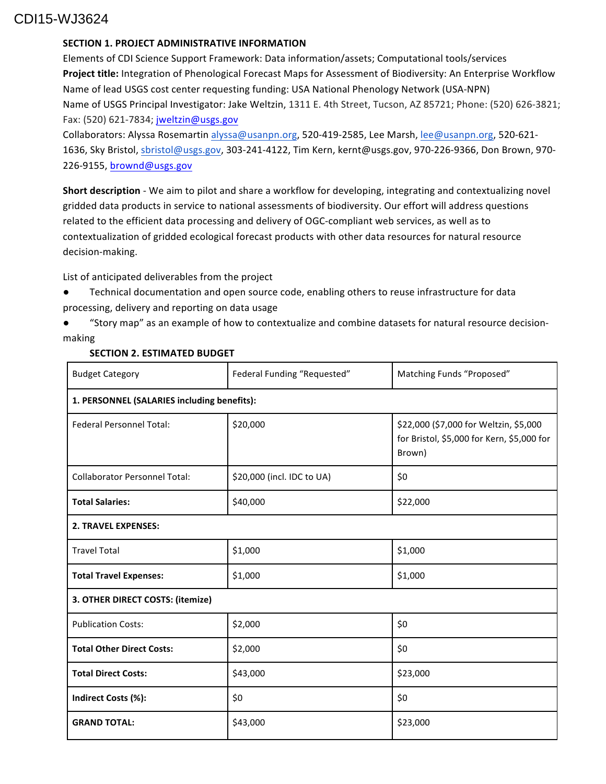# CDI15-WJ3624

### **SECTION 1. PROJECT ADMINISTRATIVE INFORMATION**

Elements of CDI Science Support Framework: Data information/assets; Computational tools/services Project title: Integration of Phenological Forecast Maps for Assessment of Biodiversity: An Enterprise Workflow Name of lead USGS cost center requesting funding: USA National Phenology Network (USA-NPN) Name of USGS Principal Investigator: Jake Weltzin, 1311 E. 4th Street, Tucson, AZ 85721; Phone: (520) 626-3821; Fax: (520) 621-7834; jweltzin@usgs.gov

Collaborators: Alyssa Rosemartin alyssa@usanpn.org, 520-419-2585, Lee Marsh, lee@usanpn.org, 520-621-1636, Sky Bristol, sbristol@usgs.gov, 303-241-4122, Tim Kern, kernt@usgs.gov, 970-226-9366, Don Brown, 970-226-9155, brownd@usgs.gov

**Short description** - We aim to pilot and share a workflow for developing, integrating and contextualizing novel gridded data products in service to national assessments of biodiversity. Our effort will address questions related to the efficient data processing and delivery of OGC-compliant web services, as well as to contextualization of gridded ecological forecast products with other data resources for natural resource decision-making.

List of anticipated deliverables from the project

● Technical documentation and open source code, enabling others to reuse infrastructure for data processing, delivery and reporting on data usage

"Story map" as an example of how to contextualize and combine datasets for natural resource decisionmaking

| <b>Budget Category</b>                      | Federal Funding "Requested" | Matching Funds "Proposed"                                                                      |
|---------------------------------------------|-----------------------------|------------------------------------------------------------------------------------------------|
| 1. PERSONNEL (SALARIES including benefits): |                             |                                                                                                |
| <b>Federal Personnel Total:</b>             | \$20,000                    | \$22,000 (\$7,000 for Weltzin, \$5,000<br>for Bristol, \$5,000 for Kern, \$5,000 for<br>Brown) |
| <b>Collaborator Personnel Total:</b>        | \$20,000 (incl. IDC to UA)  | \$0                                                                                            |
| <b>Total Salaries:</b>                      | \$40,000                    | \$22,000                                                                                       |
| <b>2. TRAVEL EXPENSES:</b>                  |                             |                                                                                                |
| <b>Travel Total</b>                         | \$1,000                     | \$1,000                                                                                        |
| <b>Total Travel Expenses:</b>               | \$1,000                     | \$1,000                                                                                        |
| 3. OTHER DIRECT COSTS: (itemize)            |                             |                                                                                                |
| <b>Publication Costs:</b>                   | \$2,000                     | \$0                                                                                            |
| <b>Total Other Direct Costs:</b>            | \$2,000                     | \$0                                                                                            |
| <b>Total Direct Costs:</b>                  | \$43,000                    | \$23,000                                                                                       |
| Indirect Costs (%):                         | \$0                         | \$0                                                                                            |
| <b>GRAND TOTAL:</b>                         | \$43,000                    | \$23,000                                                                                       |

### **SECTION 2. ESTIMATED BUDGET**